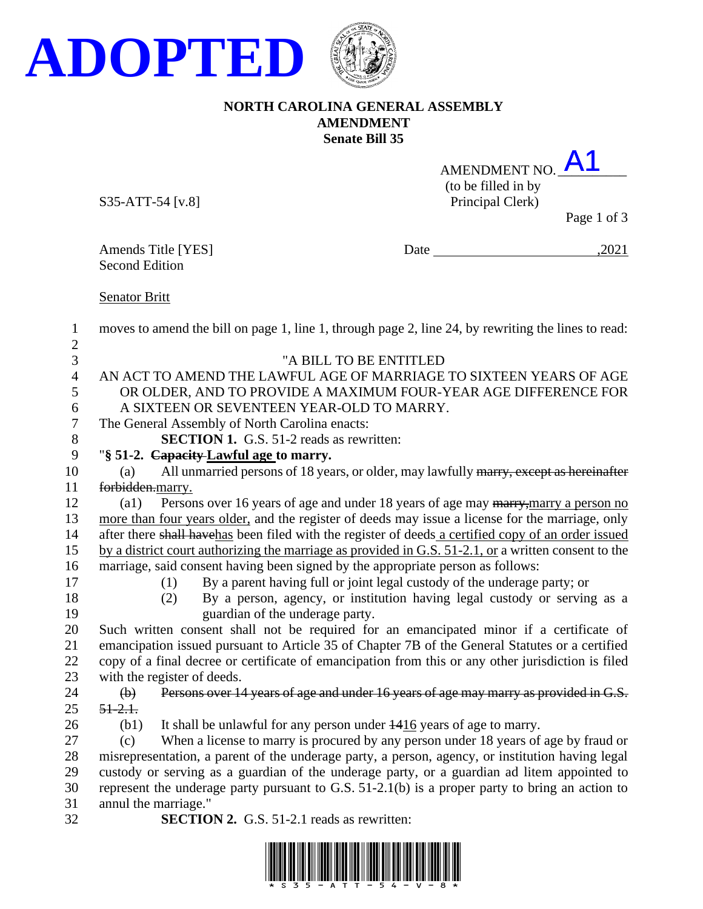

## **NORTH CAROLINA GENERAL ASSEMBLY AMENDMENT Senate Bill 35**

| AMENDMENT NO.       |  |  |
|---------------------|--|--|
| (to be filled in by |  |  |
| Principal Clerk)    |  |  |
|                     |  |  |

S35-ATT-54 [v.8]

Page 1 of 3

Amends Title [YES]<br>Second Edition

Date  $\frac{2021}{\frac{1}{2021}}$ 

Senator Britt

| 1              | moves to amend the bill on page 1, line 1, through page 2, line 24, by rewriting the lines to read:                |
|----------------|--------------------------------------------------------------------------------------------------------------------|
| $\overline{2}$ |                                                                                                                    |
| 3              | "A BILL TO BE ENTITLED                                                                                             |
| $\overline{4}$ | AN ACT TO AMEND THE LAWFUL AGE OF MARRIAGE TO SIXTEEN YEARS OF AGE                                                 |
| 5              | OR OLDER, AND TO PROVIDE A MAXIMUM FOUR-YEAR AGE DIFFERENCE FOR                                                    |
| 6              | A SIXTEEN OR SEVENTEEN YEAR-OLD TO MARRY.                                                                          |
| 7              | The General Assembly of North Carolina enacts:                                                                     |
| 8              | <b>SECTION 1.</b> G.S. 51-2 reads as rewritten:                                                                    |
| 9              | "§ 51-2. Capacity Lawful age to marry.                                                                             |
| 10             | All unmarried persons of 18 years, or older, may lawfully marry, except as hereinafter<br>(a)                      |
| 11             | forbidden.marry.                                                                                                   |
| 12             | Persons over 16 years of age and under 18 years of age may marry, marry a person no<br>(a1)                        |
| 13             | more than four years older, and the register of deeds may issue a license for the marriage, only                   |
| 14             | after there shall havehas been filed with the register of deeds a certified copy of an order issued                |
| 15             | by a district court authorizing the marriage as provided in G.S. $51-2.1$ , or a written consent to the            |
| 16<br>17       | marriage, said consent having been signed by the appropriate person as follows:                                    |
|                | By a parent having full or joint legal custody of the underage party; or<br>(1)                                    |
| 18<br>19       | By a person, agency, or institution having legal custody or serving as a<br>(2)<br>guardian of the underage party. |
| 20             | Such written consent shall not be required for an emancipated minor if a certificate of                            |
| 21             | emancipation issued pursuant to Article 35 of Chapter 7B of the General Statutes or a certified                    |
| 22             | copy of a final decree or certificate of emancipation from this or any other jurisdiction is filed                 |
| 23             | with the register of deeds.                                                                                        |
| 24             | Persons over 14 years of age and under 16 years of age may marry as provided in G.S.<br>$\bigoplus$                |
| 25             | $51 - 2.1$                                                                                                         |
| 26             | It shall be unlawful for any person under $\frac{1416}{2}$ years of age to marry.<br>(b1)                          |
| 27             | When a license to marry is procured by any person under 18 years of age by fraud or<br>(c)                         |
| 28             | misrepresentation, a parent of the underage party, a person, agency, or institution having legal                   |
| 29             | custody or serving as a guardian of the underage party, or a guardian ad litem appointed to                        |
| 30             | represent the underage party pursuant to G.S. $51-2.1(b)$ is a proper party to bring an action to                  |
| 31             | annul the marriage."                                                                                               |
| 32             | <b>SECTION 2.</b> G.S. 51-2.1 reads as rewritten:                                                                  |
|                |                                                                                                                    |

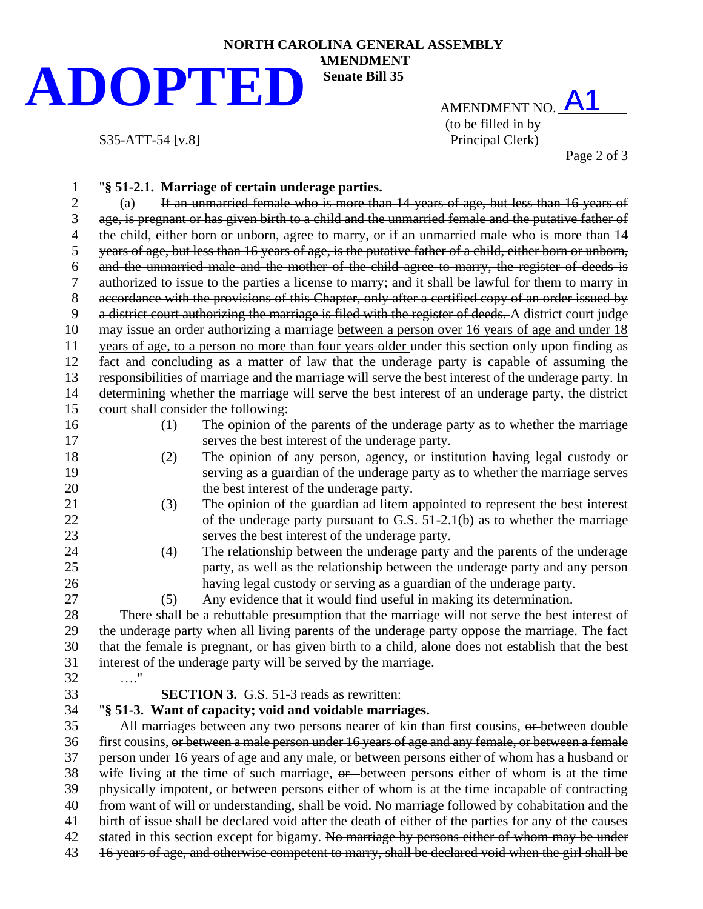## **NORTH CAROLINA GENERAL ASSEMBLY AMENDMENT Senate Bill 35 ADOPTED**

AMENDMENT NO.  $A1$ (to be filled in by S35-ATT-54 [v.8] Principal Clerk)

Page 2 of 3

| $\mathbf 1$      |                                                                                                      | "§ 51-2.1. Marriage of certain underage parties.                                                       |  |  |  |
|------------------|------------------------------------------------------------------------------------------------------|--------------------------------------------------------------------------------------------------------|--|--|--|
| $\overline{2}$   | (a)                                                                                                  | If an unmarried female who is more than 14 years of age, but less than 16 years of                     |  |  |  |
| 3                | age, is pregnant or has given birth to a child and the unmarried female and the putative father of   |                                                                                                        |  |  |  |
| 4                | the child, either born or unborn, agree to marry, or if an unmarried male who is more than 14        |                                                                                                        |  |  |  |
| 5                |                                                                                                      | years of age, but less than 16 years of age, is the putative father of a child, either born or unborn, |  |  |  |
| 6                |                                                                                                      | and the unmarried male and the mother of the child agree to marry, the register of deeds is            |  |  |  |
| $\boldsymbol{7}$ |                                                                                                      | authorized to issue to the parties a license to marry; and it shall be lawful for them to marry in     |  |  |  |
| $8\,$            |                                                                                                      | accordance with the provisions of this Chapter, only after a certified copy of an order issued by      |  |  |  |
| 9                |                                                                                                      | a district court authorizing the marriage is filed with the register of deeds. A district court judge  |  |  |  |
| 10               |                                                                                                      | may issue an order authorizing a marriage between a person over 16 years of age and under 18           |  |  |  |
| 11               |                                                                                                      | years of age, to a person no more than four years older under this section only upon finding as        |  |  |  |
| 12               |                                                                                                      | fact and concluding as a matter of law that the underage party is capable of assuming the              |  |  |  |
| 13               |                                                                                                      | responsibilities of marriage and the marriage will serve the best interest of the underage party. In   |  |  |  |
| 14               |                                                                                                      | determining whether the marriage will serve the best interest of an underage party, the district       |  |  |  |
| 15               | court shall consider the following:                                                                  |                                                                                                        |  |  |  |
| 16               | (1)                                                                                                  | The opinion of the parents of the underage party as to whether the marriage                            |  |  |  |
| 17               |                                                                                                      | serves the best interest of the underage party.                                                        |  |  |  |
| 18               | (2)                                                                                                  | The opinion of any person, agency, or institution having legal custody or                              |  |  |  |
| 19               |                                                                                                      | serving as a guardian of the underage party as to whether the marriage serves                          |  |  |  |
| 20               |                                                                                                      | the best interest of the underage party.                                                               |  |  |  |
| 21               | (3)                                                                                                  | The opinion of the guardian ad litem appointed to represent the best interest                          |  |  |  |
| 22               |                                                                                                      | of the underage party pursuant to G.S. $51-2.1(b)$ as to whether the marriage                          |  |  |  |
| 23               |                                                                                                      | serves the best interest of the underage party.                                                        |  |  |  |
| 24               | (4)                                                                                                  | The relationship between the underage party and the parents of the underage                            |  |  |  |
| 25               |                                                                                                      | party, as well as the relationship between the underage party and any person                           |  |  |  |
| 26               |                                                                                                      | having legal custody or serving as a guardian of the underage party.                                   |  |  |  |
| 27               | (5)                                                                                                  | Any evidence that it would find useful in making its determination.                                    |  |  |  |
| 28               |                                                                                                      | There shall be a rebuttable presumption that the marriage will not serve the best interest of          |  |  |  |
| 29               |                                                                                                      | the underage party when all living parents of the underage party oppose the marriage. The fact         |  |  |  |
| 30               |                                                                                                      | that the female is pregnant, or has given birth to a child, alone does not establish that the best     |  |  |  |
| 31               |                                                                                                      | interest of the underage party will be served by the marriage.                                         |  |  |  |
| 32               | . '                                                                                                  |                                                                                                        |  |  |  |
| 33               |                                                                                                      | <b>SECTION 3.</b> G.S. 51-3 reads as rewritten:                                                        |  |  |  |
| 34               |                                                                                                      | "§ 51-3. Want of capacity; void and voidable marriages.                                                |  |  |  |
| 35               |                                                                                                      | All marriages between any two persons nearer of kin than first cousins, or between double              |  |  |  |
| 36               |                                                                                                      | first cousins, or between a male person under 16 years of age and any female, or between a female      |  |  |  |
| 37               |                                                                                                      | person under 16 years of age and any male, or between persons either of whom has a husband or          |  |  |  |
| 38               |                                                                                                      | wife living at the time of such marriage, or between persons either of whom is at the time             |  |  |  |
| 39               | physically impotent, or between persons either of whom is at the time incapable of contracting       |                                                                                                        |  |  |  |
| 40               | from want of will or understanding, shall be void. No marriage followed by cohabitation and the      |                                                                                                        |  |  |  |
| 41               | birth of issue shall be declared void after the death of either of the parties for any of the causes |                                                                                                        |  |  |  |
| 42               |                                                                                                      | stated in this section except for bigamy. No marriage by persons either of whom may be under           |  |  |  |
| 43               |                                                                                                      | 16 years of age, and otherwise competent to marry, shall be declared void when the girl shall be       |  |  |  |